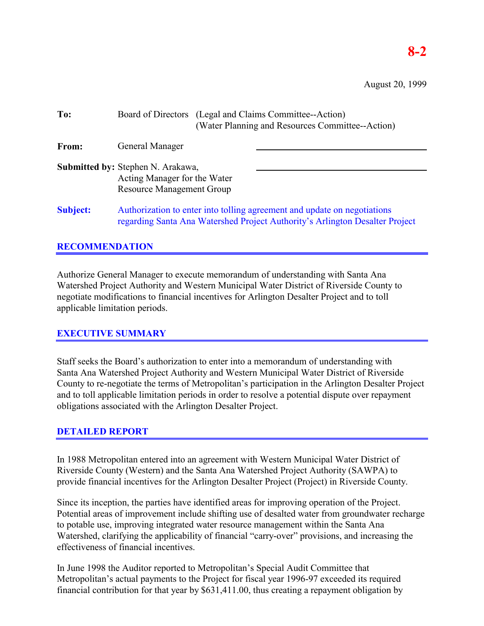August 20, 1999

| To:             | Board of Directors (Legal and Claims Committee--Action)<br>(Water Planning and Resources Committee--Action)                                              |
|-----------------|----------------------------------------------------------------------------------------------------------------------------------------------------------|
| From:           | General Manager                                                                                                                                          |
|                 | <b>Submitted by: Stephen N. Arakawa,</b><br>Acting Manager for the Water<br><b>Resource Management Group</b>                                             |
| <b>Subject:</b> | Authorization to enter into tolling agreement and update on negotiations<br>regarding Santa Ana Watershed Project Authority's Arlington Desalter Project |

## **RECOMMENDATION**

Authorize General Manager to execute memorandum of understanding with Santa Ana Watershed Project Authority and Western Municipal Water District of Riverside County to negotiate modifications to financial incentives for Arlington Desalter Project and to toll applicable limitation periods.

## **EXECUTIVE SUMMARY**

Staff seeks the Board's authorization to enter into a memorandum of understanding with Santa Ana Watershed Project Authority and Western Municipal Water District of Riverside County to re-negotiate the terms of Metropolitan's participation in the Arlington Desalter Project and to toll applicable limitation periods in order to resolve a potential dispute over repayment obligations associated with the Arlington Desalter Project.

## **DETAILED REPORT**

In 1988 Metropolitan entered into an agreement with Western Municipal Water District of Riverside County (Western) and the Santa Ana Watershed Project Authority (SAWPA) to provide financial incentives for the Arlington Desalter Project (Project) in Riverside County.

Since its inception, the parties have identified areas for improving operation of the Project. Potential areas of improvement include shifting use of desalted water from groundwater recharge to potable use, improving integrated water resource management within the Santa Ana Watershed, clarifying the applicability of financial "carry-over" provisions, and increasing the effectiveness of financial incentives.

In June 1998 the Auditor reported to Metropolitan's Special Audit Committee that Metropolitan's actual payments to the Project for fiscal year 1996-97 exceeded its required financial contribution for that year by \$631,411.00, thus creating a repayment obligation by